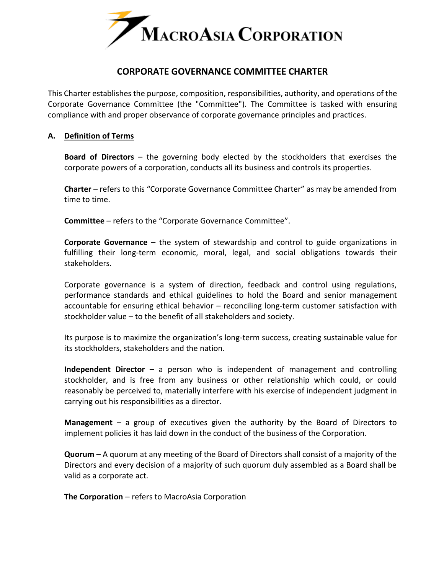

# **CORPORATE GOVERNANCE COMMITTEE CHARTER**

This Charter establishes the purpose, composition, responsibilities, authority, and operations of the Corporate Governance Committee (the "Committee"). The Committee is tasked with ensuring compliance with and proper observance of corporate governance principles and practices.

#### **A. Definition of Terms**

**Board of Directors** – the governing body elected by the stockholders that exercises the corporate powers of a corporation, conducts all its business and controls its properties.

**Charter** – refers to this "Corporate Governance Committee Charter" as may be amended from time to time.

**Committee** – refers to the "Corporate Governance Committee".

**Corporate Governance** – the system of stewardship and control to guide organizations in fulfilling their long-term economic, moral, legal, and social obligations towards their stakeholders.

Corporate governance is a system of direction, feedback and control using regulations, performance standards and ethical guidelines to hold the Board and senior management accountable for ensuring ethical behavior – reconciling long-term customer satisfaction with stockholder value – to the benefit of all stakeholders and society.

Its purpose is to maximize the organization's long-term success, creating sustainable value for its stockholders, stakeholders and the nation.

**Independent Director** – a person who is independent of management and controlling stockholder, and is free from any business or other relationship which could, or could reasonably be perceived to, materially interfere with his exercise of independent judgment in carrying out his responsibilities as a director.

**Management** – a group of executives given the authority by the Board of Directors to implement policies it has laid down in the conduct of the business of the Corporation.

**Quorum** – A quorum at any meeting of the Board of Directors shall consist of a majority of the Directors and every decision of a majority of such quorum duly assembled as a Board shall be valid as a corporate act.

**The Corporation** – refers to MacroAsia Corporation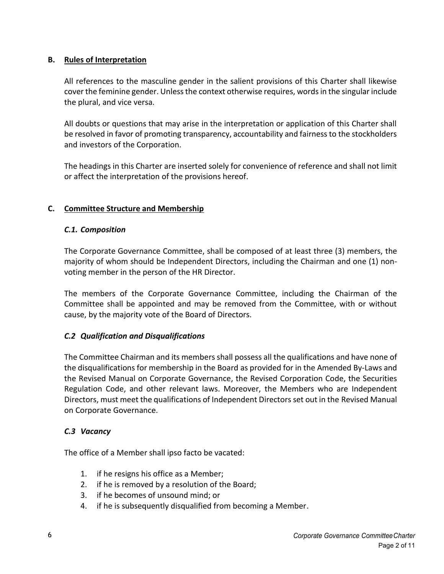# **B. Rules of Interpretation**

All references to the masculine gender in the salient provisions of this Charter shall likewise cover the feminine gender. Unless the context otherwise requires, words in the singular include the plural, and vice versa.

All doubts or questions that may arise in the interpretation or application of this Charter shall be resolved in favor of promoting transparency, accountability and fairness to the stockholders and investors of the Corporation.

The headings in this Charter are inserted solely for convenience of reference and shall not limit or affect the interpretation of the provisions hereof.

# **C. Committee Structure and Membership**

# *C.1. Composition*

The Corporate Governance Committee, shall be composed of at least three (3) members, the majority of whom should be Independent Directors, including the Chairman and one (1) nonvoting member in the person of the HR Director.

The members of the Corporate Governance Committee, including the Chairman of the Committee shall be appointed and may be removed from the Committee, with or without cause, by the majority vote of the Board of Directors.

# *C.2 Qualification and Disqualifications*

The Committee Chairman and its members shall possess all the qualifications and have none of the disqualifications for membership in the Board as provided for in the Amended By-Laws and the Revised Manual on Corporate Governance, the Revised Corporation Code, the Securities Regulation Code, and other relevant laws. Moreover, the Members who are Independent Directors, must meet the qualifications of Independent Directors set out in the Revised Manual on Corporate Governance.

#### *C.3 Vacancy*

The office of a Member shall ipso facto be vacated:

- 1. if he resigns his office as a Member;
- 2. if he is removed by a resolution of the Board;
- 3. if he becomes of unsound mind; or
- 4. if he is subsequently disqualified from becoming a Member.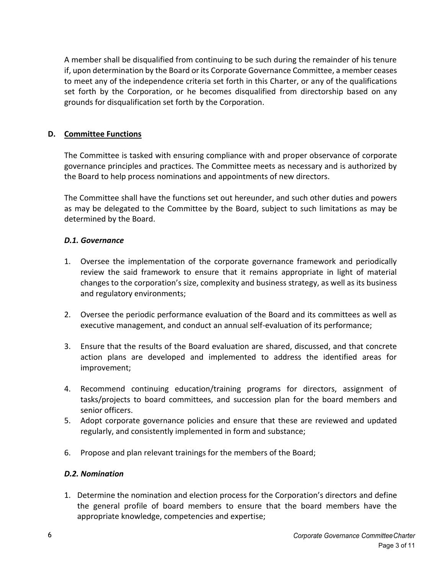A member shall be disqualified from continuing to be such during the remainder of his tenure if, upon determination by the Board or its Corporate Governance Committee, a member ceases to meet any of the independence criteria set forth in this Charter, or any of the qualifications set forth by the Corporation, or he becomes disqualified from directorship based on any grounds for disqualification set forth by the Corporation.

# **D. Committee Functions**

The Committee is tasked with ensuring compliance with and proper observance of corporate governance principles and practices. The Committee meets as necessary and is authorized by the Board to help process nominations and appointments of new directors.

The Committee shall have the functions set out hereunder, and such other duties and powers as may be delegated to the Committee by the Board, subject to such limitations as may be determined by the Board.

# *D.1. Governance*

- 1. Oversee the implementation of the corporate governance framework and periodically review the said framework to ensure that it remains appropriate in light of material changes to the corporation's size, complexity and business strategy, as well as its business and regulatory environments;
- 2. Oversee the periodic performance evaluation of the Board and its committees as well as executive management, and conduct an annual self-evaluation of its performance;
- 3. Ensure that the results of the Board evaluation are shared, discussed, and that concrete action plans are developed and implemented to address the identified areas for improvement;
- 4. Recommend continuing education/training programs for directors, assignment of tasks/projects to board committees, and succession plan for the board members and senior officers.
- 5. Adopt corporate governance policies and ensure that these are reviewed and updated regularly, and consistently implemented in form and substance;
- 6. Propose and plan relevant trainings for the members of the Board;

# *D.2. Nomination*

1. Determine the nomination and election process for the Corporation's directors and define the general profile of board members to ensure that the board members have the appropriate knowledge, competencies and expertise;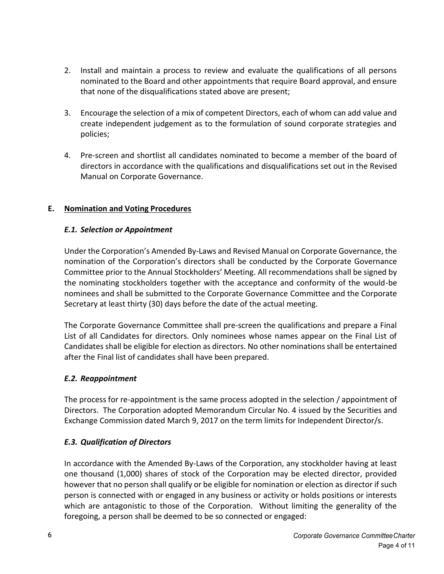- 2. Install and maintain a process to review and evaluate the qualifications of all persons nominated to the Board and other appointments that require Board approval, and ensure that none of the disqualifications stated above are present;
- 3. Encourage the selection of a mix of competent Directors, each of whom can add value and create independent judgement as to the formulation of sound corporate strategies and policies;
- 4. Pre-screen and shortlist all candidates nominated to become a member of the board of directors in accordance with the qualifications and disqualifications set out in the Revised Manual on Corporate Governance.

# **E. Nomination and Voting Procedures**

# *E.1. Selection or Appointment*

Under the Corporation's Amended By-Laws and Revised Manual on Corporate Governance, the nomination of the Corporation's directors shall be conducted by the Corporate Governance Committee prior to the Annual Stockholders' Meeting. All recommendations shall be signed by the nominating stockholders together with the acceptance and conformity of the would-be nominees and shall be submitted to the Corporate Governance Committee and the Corporate Secretary at least thirty (30) days before the date of the actual meeting.

The Corporate Governance Committee shall pre-screen the qualifications and prepare a Final List of all Candidates for directors. Only nominees whose names appear on the Final List of Candidates shall be eligible for election as directors. No other nominations shall be entertained after the Final list of candidates shall have been prepared.

#### *E.2. Reappointment*

The process for re-appointment is the same process adopted in the selection / appointment of Directors. The Corporation adopted Memorandum Circular No. 4 issued by the Securities and Exchange Commission dated March 9, 2017 on the term limits for Independent Director/s.

# *E.3. Qualification of Directors*

In accordance with the Amended By-Laws of the Corporation, any stockholder having at least one thousand (1,000) shares of stock of the Corporation may be elected director, provided however that no person shall qualify or be eligible for nomination or election as director if such person is connected with or engaged in any business or activity or holds positions or interests which are antagonistic to those of the Corporation. Without limiting the generality of the foregoing, a person shall be deemed to be so connected or engaged: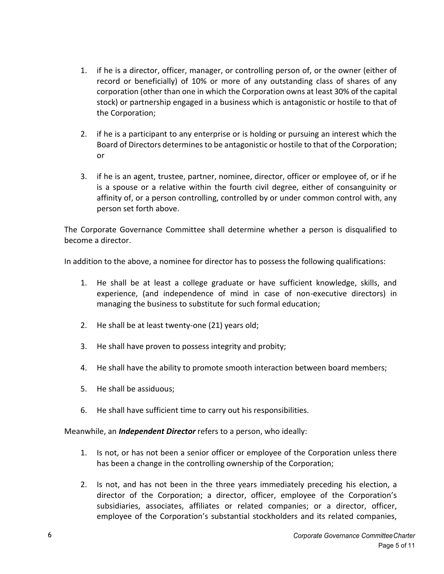- 1. if he is a director, officer, manager, or controlling person of, or the owner (either of record or beneficially) of 10% or more of any outstanding class of shares of any corporation (other than one in which the Corporation owns at least 30% of the capital stock) or partnership engaged in a business which is antagonistic or hostile to that of the Corporation;
- 2. if he is a participant to any enterprise or is holding or pursuing an interest which the Board of Directors determines to be antagonistic or hostile to that of the Corporation; or
- 3. if he is an agent, trustee, partner, nominee, director, officer or employee of, or if he is a spouse or a relative within the fourth civil degree, either of consanguinity or affinity of, or a person controlling, controlled by or under common control with, any person set forth above.

The Corporate Governance Committee shall determine whether a person is disqualified to become a director.

In addition to the above, a nominee for director has to possess the following qualifications:

- 1. He shall be at least a college graduate or have sufficient knowledge, skills, and experience, (and independence of mind in case of non-executive directors) in managing the business to substitute for such formal education;
- 2. He shall be at least twenty-one (21) years old;
- 3. He shall have proven to possess integrity and probity;
- 4. He shall have the ability to promote smooth interaction between board members;
- 5. He shall be assiduous;
- 6. He shall have sufficient time to carry out his responsibilities.

Meanwhile, an *Independent Director* refers to a person, who ideally:

- 1. Is not, or has not been a senior officer or employee of the Corporation unless there has been a change in the controlling ownership of the Corporation;
- 2. Is not, and has not been in the three years immediately preceding his election, a director of the Corporation; a director, officer, employee of the Corporation's subsidiaries, associates, affiliates or related companies; or a director, officer, employee of the Corporation's substantial stockholders and its related companies,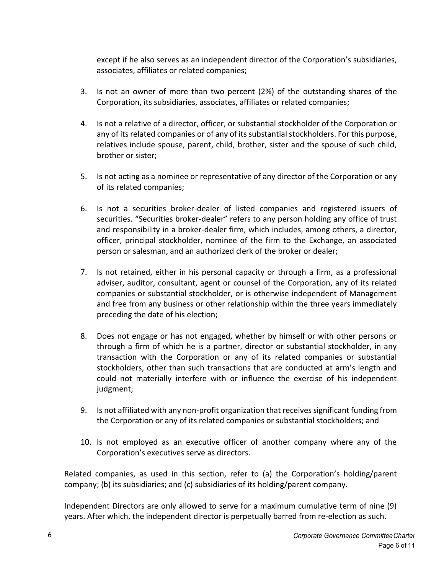except if he also serves as an independent director of the Corporation's subsidiaries, associates, affiliates or related companies;

- 3. Is not an owner of more than two percent (2%) of the outstanding shares of the Corporation, its subsidiaries, associates, affiliates or related companies;
- 4. Is not a relative of a director, officer, or substantial stockholder of the Corporation or any of its related companies or of any of its substantial stockholders. For this purpose, relatives include spouse, parent, child, brother, sister and the spouse of such child, brother or sister;
- 5. Is not acting as a nominee or representative of any director of the Corporation or any of its related companies;
- 6. Is not a securities broker-dealer of listed companies and registered issuers of securities. "Securities broker-dealer" refers to any person holding any office of trust and responsibility in a broker-dealer firm, which includes, among others, a director, officer, principal stockholder, nominee of the firm to the Exchange, an associated person or salesman, and an authorized clerk of the broker or dealer;
- 7. Is not retained, either in his personal capacity or through a firm, as a professional adviser, auditor, consultant, agent or counsel of the Corporation, any of its related companies or substantial stockholder, or is otherwise independent of Management and free from any business or other relationship within the three years immediately preceding the date of his election;
- 8. Does not engage or has not engaged, whether by himself or with other persons or through a firm of which he is a partner, director or substantial stockholder, in any transaction with the Corporation or any of its related companies or substantial stockholders, other than such transactions that are conducted at arm's length and could not materially interfere with or influence the exercise of his independent judgment;
- 9. Is not affiliated with any non-profit organization that receives significant funding from the Corporation or any of its related companies or substantial stockholders; and
- 10. Is not employed as an executive officer of another company where any of the Corporation's executives serve as directors.

Related companies, as used in this section, refer to (a) the Corporation's holding/parent company; (b) its subsidiaries; and (c) subsidiaries of its holding/parent company.

Independent Directors are only allowed to serve for a maximum cumulative term of nine (9) years. After which, the independent director is perpetually barred from re-election as such.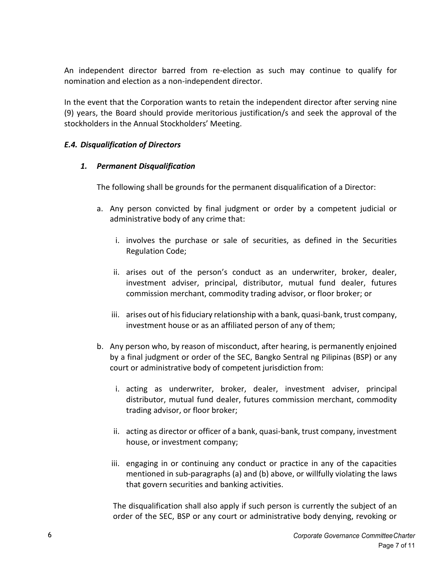An independent director barred from re-election as such may continue to qualify for nomination and election as a non-independent director.

In the event that the Corporation wants to retain the independent director after serving nine (9) years, the Board should provide meritorious justification/s and seek the approval of the stockholders in the Annual Stockholders' Meeting.

#### *E.4. Disqualification of Directors*

#### *1. Permanent Disqualification*

The following shall be grounds for the permanent disqualification of a Director:

- a. Any person convicted by final judgment or order by a competent judicial or administrative body of any crime that:
	- i. involves the purchase or sale of securities, as defined in the Securities Regulation Code;
	- ii. arises out of the person's conduct as an underwriter, broker, dealer, investment adviser, principal, distributor, mutual fund dealer, futures commission merchant, commodity trading advisor, or floor broker; or
	- iii. arises out of his fiduciary relationship with a bank, quasi-bank, trust company, investment house or as an affiliated person of any of them;
- b. Any person who, by reason of misconduct, after hearing, is permanently enjoined by a final judgment or order of the SEC, Bangko Sentral ng Pilipinas (BSP) or any court or administrative body of competent jurisdiction from:
	- i. acting as underwriter, broker, dealer, investment adviser, principal distributor, mutual fund dealer, futures commission merchant, commodity trading advisor, or floor broker;
	- ii. acting as director or officer of a bank, quasi-bank, trust company, investment house, or investment company;
	- iii. engaging in or continuing any conduct or practice in any of the capacities mentioned in sub-paragraphs (a) and (b) above, or willfully violating the laws that govern securities and banking activities.

The disqualification shall also apply if such person is currently the subject of an order of the SEC, BSP or any court or administrative body denying, revoking or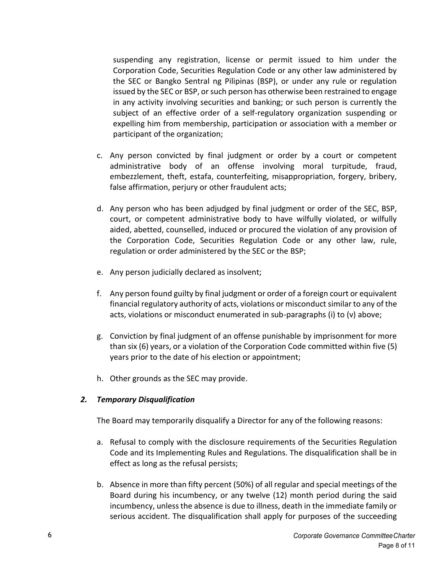suspending any registration, license or permit issued to him under the Corporation Code, Securities Regulation Code or any other law administered by the SEC or Bangko Sentral ng Pilipinas (BSP), or under any rule or regulation issued by the SEC or BSP, or such person has otherwise been restrained to engage in any activity involving securities and banking; or such person is currently the subject of an effective order of a self-regulatory organization suspending or expelling him from membership, participation or association with a member or participant of the organization;

- c. Any person convicted by final judgment or order by a court or competent administrative body of an offense involving moral turpitude, fraud, embezzlement, theft, estafa, counterfeiting, misappropriation, forgery, bribery, false affirmation, perjury or other fraudulent acts;
- d. Any person who has been adjudged by final judgment or order of the SEC, BSP, court, or competent administrative body to have wilfully violated, or wilfully aided, abetted, counselled, induced or procured the violation of any provision of the Corporation Code, Securities Regulation Code or any other law, rule, regulation or order administered by the SEC or the BSP;
- e. Any person judicially declared as insolvent;
- f. Any person found guilty by final judgment or order of a foreign court or equivalent financial regulatory authority of acts, violations or misconduct similar to any of the acts, violations or misconduct enumerated in sub-paragraphs (i) to (v) above;
- g. Conviction by final judgment of an offense punishable by imprisonment for more than six (6) years, or a violation of the Corporation Code committed within five (5) years prior to the date of his election or appointment;
- h. Other grounds as the SEC may provide.

# *2. Temporary Disqualification*

The Board may temporarily disqualify a Director for any of the following reasons:

- a. Refusal to comply with the disclosure requirements of the Securities Regulation Code and its Implementing Rules and Regulations. The disqualification shall be in effect as long as the refusal persists;
- b. Absence in more than fifty percent (50%) of all regular and special meetings of the Board during his incumbency, or any twelve (12) month period during the said incumbency, unless the absence is due to illness, death in the immediate family or serious accident. The disqualification shall apply for purposes of the succeeding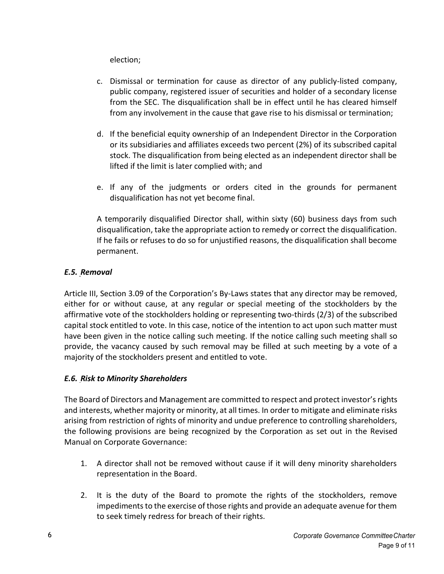election;

- c. Dismissal or termination for cause as director of any publicly-listed company, public company, registered issuer of securities and holder of a secondary license from the SEC. The disqualification shall be in effect until he has cleared himself from any involvement in the cause that gave rise to his dismissal or termination;
- d. If the beneficial equity ownership of an Independent Director in the Corporation or its subsidiaries and affiliates exceeds two percent (2%) of its subscribed capital stock. The disqualification from being elected as an independent director shall be lifted if the limit is later complied with; and
- e. If any of the judgments or orders cited in the grounds for permanent disqualification has not yet become final.

A temporarily disqualified Director shall, within sixty (60) business days from such disqualification, take the appropriate action to remedy or correct the disqualification. If he fails or refuses to do so for unjustified reasons, the disqualification shall become permanent.

# *E.5. Removal*

Article III, Section 3.09 of the Corporation's By-Laws states that any director may be removed, either for or without cause, at any regular or special meeting of the stockholders by the affirmative vote of the stockholders holding or representing two-thirds (2/3) of the subscribed capital stock entitled to vote. In this case, notice of the intention to act upon such matter must have been given in the notice calling such meeting. If the notice calling such meeting shall so provide, the vacancy caused by such removal may be filled at such meeting by a vote of a majority of the stockholders present and entitled to vote.

# *E.6. Risk to Minority Shareholders*

The Board of Directors and Management are committed to respect and protect investor's rights and interests, whether majority or minority, at all times. In order to mitigate and eliminate risks arising from restriction of rights of minority and undue preference to controlling shareholders, the following provisions are being recognized by the Corporation as set out in the Revised Manual on Corporate Governance:

- 1. A director shall not be removed without cause if it will deny minority shareholders representation in the Board.
- 2. It is the duty of the Board to promote the rights of the stockholders, remove impediments to the exercise of those rights and provide an adequate avenue for them to seek timely redress for breach of their rights.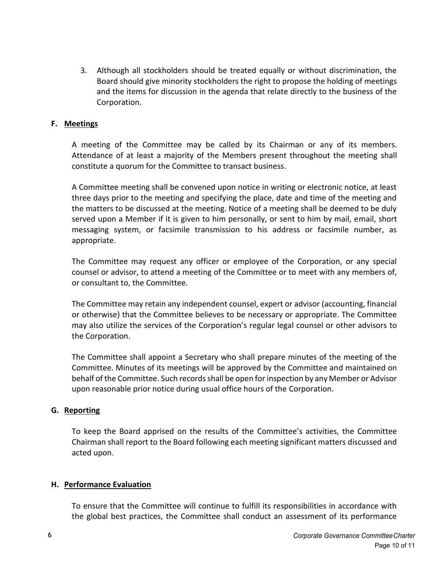3. Although all stockholders should be treated equally or without discrimination, the Board should give minority stockholders the right to propose the holding of meetings and the items for discussion in the agenda that relate directly to the business of the Corporation.

#### **F. Meetings**

A meeting of the Committee may be called by its Chairman or any of its members. Attendance of at least a majority of the Members present throughout the meeting shall constitute a quorum for the Committee to transact business.

A Committee meeting shall be convened upon notice in writing or electronic notice, at least three days prior to the meeting and specifying the place, date and time of the meeting and the matters to be discussed at the meeting. Notice of a meeting shall be deemed to be duly served upon a Member if it is given to him personally, or sent to him by mail, email, short messaging system, or facsimile transmission to his address or facsimile number, as appropriate.

The Committee may request any officer or employee of the Corporation, or any special counsel or advisor, to attend a meeting of the Committee or to meet with any members of, or consultant to, the Committee.

The Committee may retain any independent counsel, expert or advisor (accounting, financial or otherwise) that the Committee believes to be necessary or appropriate. The Committee may also utilize the services of the Corporation's regular legal counsel or other advisors to the Corporation.

The Committee shall appoint a Secretary who shall prepare minutes of the meeting of the Committee. Minutes of its meetings will be approved by the Committee and maintained on behalf of the Committee. Such records shall be open for inspection by any Member or Advisor upon reasonable prior notice during usual office hours of the Corporation.

#### **G. Reporting**

To keep the Board apprised on the results of the Committee's activities, the Committee Chairman shall report to the Board following each meeting significant matters discussed and acted upon.

#### **H. Performance Evaluation**

To ensure that the Committee will continue to fulfill its responsibilities in accordance with the global best practices, the Committee shall conduct an assessment of its performance